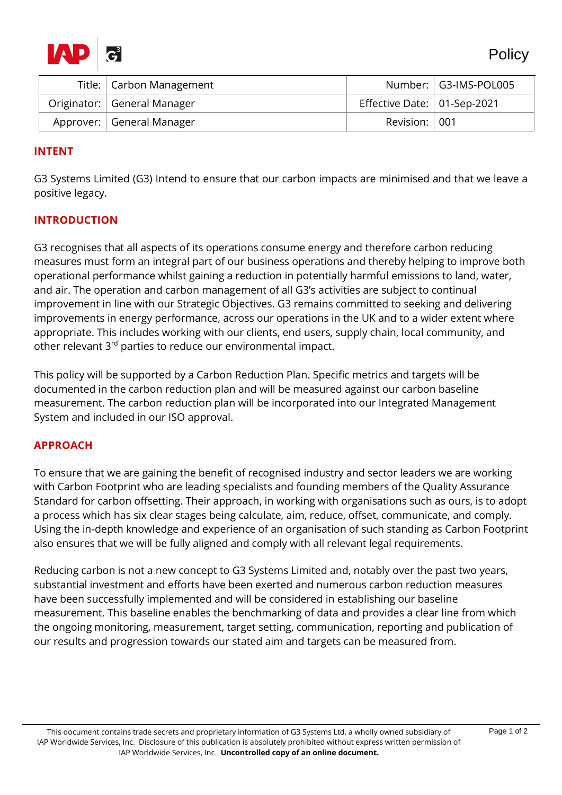

| Title:   Carbon Management    |                                     | Number:   G3-IMS-POL005 |
|-------------------------------|-------------------------------------|-------------------------|
| Originator:   General Manager | Effective Date: $\vert$ 01-Sep-2021 |                         |
| Approver:   General Manager   | Revision: 001                       |                         |

# **INTENT**

G3 Systems Limited (G3) Intend to ensure that our carbon impacts are minimised and that we leave a positive legacy.

## **INTRODUCTION**

G3 recognises that all aspects of its operations consume energy and therefore carbon reducing measures must form an integral part of our business operations and thereby helping to improve both operational performance whilst gaining a reduction in potentially harmful emissions to land, water, and air. The operation and carbon management of all G3's activities are subject to continual improvement in line with our Strategic Objectives. G3 remains committed to seeking and delivering improvements in energy performance, across our operations in the UK and to a wider extent where appropriate. This includes working with our clients, end users, supply chain, local community, and other relevant 3<sup>rd</sup> parties to reduce our environmental impact.

This policy will be supported by a Carbon Reduction Plan. Specific metrics and targets will be documented in the carbon reduction plan and will be measured against our carbon baseline measurement. The carbon reduction plan will be incorporated into our Integrated Management System and included in our ISO approval.

## **APPROACH**

To ensure that we are gaining the benefit of recognised industry and sector leaders we are working with Carbon Footprint who are leading specialists and founding members of the Quality Assurance Standard for carbon offsetting. Their approach, in working with organisations such as ours, is to adopt a process which has six clear stages being calculate, aim, reduce, offset, communicate, and comply. Using the in-depth knowledge and experience of an organisation of such standing as Carbon Footprint also ensures that we will be fully aligned and comply with all relevant legal requirements.

Reducing carbon is not a new concept to G3 Systems Limited and, notably over the past two years, substantial investment and efforts have been exerted and numerous carbon reduction measures have been successfully implemented and will be considered in establishing our baseline measurement. This baseline enables the benchmarking of data and provides a clear line from which the ongoing monitoring, measurement, target setting, communication, reporting and publication of our results and progression towards our stated aim and targets can be measured from.